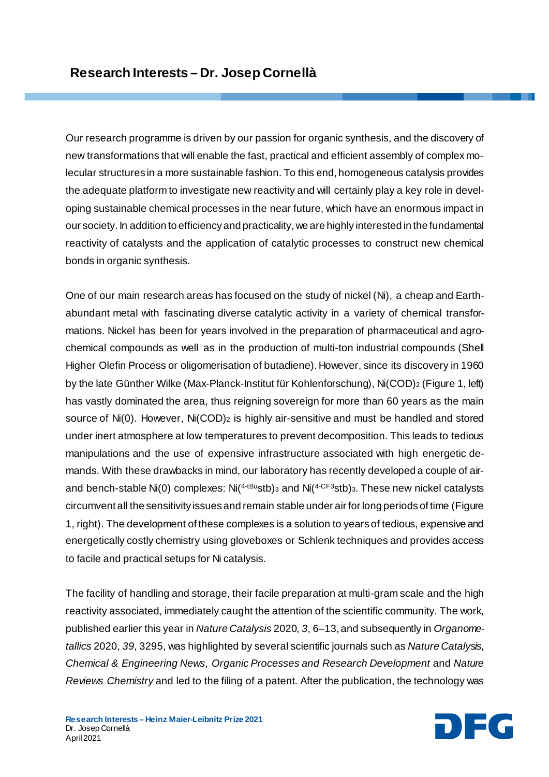Our research programme is driven by our passion for organic synthesis, and the discovery of new transformations that will enable the fast, practical and efficient assembly of complex molecular structures in a more sustainable fashion. To this end, homogeneous catalysis provides the adequate platform to investigate new reactivity and will certainly play a key role in developing sustainable chemical processes in the near future, which have an enormous impact in our society. In addition to efficiency and practicality, we are highly interested in the fundamental reactivity of catalysts and the application of catalytic processes to construct new chemical bonds in organic synthesis.

One of our main research areas has focused on the study of nickel (Ni), a cheap and Earthabundant metal with fascinating diverse catalytic activity in a variety of chemical transformations. Nickel has been for years involved in the preparation of pharmaceutical and agrochemical compounds as well as in the production of multi-ton industrial compounds (Shell Higher Olefin Process or oligomerisation of butadiene). However, since its discovery in 1960 by the late Günther Wilke (Max-Planck-Institut für Kohlenforschung), Ni(COD)2 (Figure 1, left) has vastly dominated the area, thus reigning sovereign for more than 60 years as the main source of Ni(0). However, Ni(COD)<sub>2</sub> is highly air-sensitive and must be handled and stored under inert atmosphere at low temperatures to prevent decomposition. This leads to tedious manipulations and the use of expensive infrastructure associated with high energetic demands. With these drawbacks in mind, our laboratory has recently developed a couple of airand bench-stable Ni(0) complexes: Ni( $4-tBy$ stb)<sub>3</sub> and Ni( $4-CF3$ stb)<sub>3</sub>. These new nickel catalysts circumvent all the sensitivity issues and remain stable under air for long periods of time (Figure 1, right). The development of these complexes is a solution to years of tedious, expensive and energetically costly chemistry using gloveboxes or Schlenk techniques and provides access to facile and practical setups for Ni catalysis.

The facility of handling and storage, their facile preparation at multi-gram scale and the high reactivity associated, immediately caught the attention of the scientific community. The work, published earlier this year in *Nature Catalysis* 2020, *3*, 6–13, and subsequently in *Organometallics* 2020, *39*, 3295, was highlighted by several scientific journals such as *Nature Catalysis*, *Chemical & Engineering News*, *Organic Processes and Research Development* and *Nature Reviews Chemistry* and led to the filing of a patent*.* After the publication, the technology was